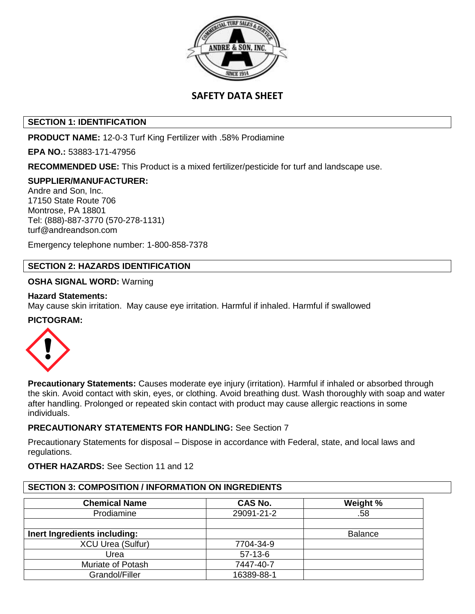

# **SAFETY DATA SHEET**

## **SECTION 1: IDENTIFICATION**

**PRODUCT NAME:** 12-0-3 Turf King Fertilizer with .58% Prodiamine

**EPA NO.:** 53883-171-47956

**RECOMMENDED USE:** This Product is a mixed fertilizer/pesticide for turf and landscape use.

### **SUPPLIER/MANUFACTURER:**

Andre and Son, Inc. 17150 State Route 706 Montrose, PA 18801 Tel: (888)-887-3770 (570-278-1131) turf@andreandson.com

Emergency telephone number: 1-800-858-7378

## **SECTION 2: HAZARDS IDENTIFICATION**

### **OSHA SIGNAL WORD:** Warning

#### **Hazard Statements:**

May cause skin irritation. May cause eye irritation. Harmful if inhaled. Harmful if swallowed

#### **PICTOGRAM:**



**Precautionary Statements:** Causes moderate eye injury (irritation). Harmful if inhaled or absorbed through the skin. Avoid contact with skin, eyes, or clothing. Avoid breathing dust. Wash thoroughly with soap and water after handling. Prolonged or repeated skin contact with product may cause allergic reactions in some individuals.

## **PRECAUTIONARY STATEMENTS FOR HANDLING:** See Section 7

Precautionary Statements for disposal – Dispose in accordance with Federal, state, and local laws and regulations.

#### **OTHER HAZARDS:** See Section 11 and 12

#### **SECTION 3: COMPOSITION / INFORMATION ON INGREDIENTS**

| <b>Chemical Name</b>         | <b>CAS No.</b> | Weight %       |
|------------------------------|----------------|----------------|
| Prodiamine                   | 29091-21-2     | .58            |
|                              |                |                |
| Inert Ingredients including: |                | <b>Balance</b> |
| <b>XCU Urea (Sulfur)</b>     | 7704-34-9      |                |
| Urea                         | $57-13-6$      |                |
| Muriate of Potash            | 7447-40-7      |                |
| Grandol/Filler               | 16389-88-1     |                |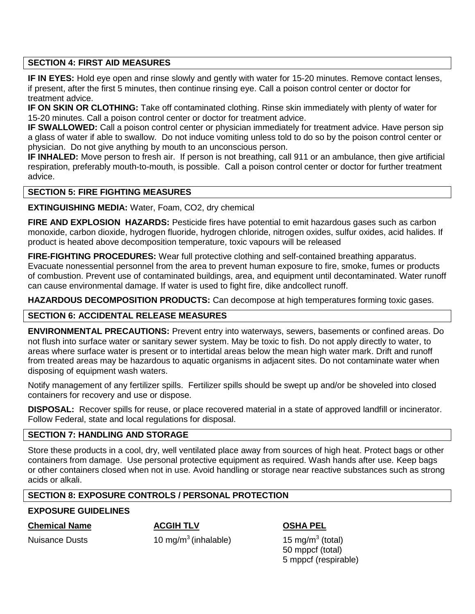## **SECTION 4: FIRST AID MEASURES**

**IF IN EYES:** Hold eye open and rinse slowly and gently with water for 15-20 minutes. Remove contact lenses, if present, after the first 5 minutes, then continue rinsing eye. Call a poison control center or doctor for treatment advice.

**IF ON SKIN OR CLOTHING:** Take off contaminated clothing. Rinse skin immediately with plenty of water for 15-20 minutes. Call a poison control center or doctor for treatment advice.

**IF SWALLOWED:** Call a poison control center or physician immediately for treatment advice. Have person sip a glass of water if able to swallow. Do not induce vomiting unless told to do so by the poison control center or physician. Do not give anything by mouth to an unconscious person.

**IF INHALED:** Move person to fresh air. If person is not breathing, call 911 or an ambulance, then give artificial respiration, preferably mouth-to-mouth, is possible. Call a poison control center or doctor for further treatment advice.

## **SECTION 5: FIRE FIGHTING MEASURES**

**EXTINGUISHING MEDIA:** Water, Foam, CO2, dry chemical

**FIRE AND EXPLOSION HAZARDS:** Pesticide fires have potential to emit hazardous gases such as carbon monoxide, carbon dioxide, hydrogen fluoride, hydrogen chloride, nitrogen oxides, sulfur oxides, acid halides. If product is heated above decomposition temperature, toxic vapours will be released

**FIRE-FIGHTING PROCEDURES:** Wear full protective clothing and self-contained breathing apparatus. Evacuate nonessential personnel from the area to prevent human exposure to fire, smoke, fumes or products of combustion. Prevent use of contaminated buildings, area, and equipment until decontaminated. Water runoff can cause environmental damage. If water is used to fight fire, dike andcollect runoff.

**HAZARDOUS DECOMPOSITION PRODUCTS:** Can decompose at high temperatures forming toxic gases.

# **SECTION 6: ACCIDENTAL RELEASE MEASURES**

**ENVIRONMENTAL PRECAUTIONS:** Prevent entry into waterways, sewers, basements or confined areas. Do not flush into surface water or sanitary sewer system. May be toxic to fish. Do not apply directly to water, to areas where surface water is present or to intertidal areas below the mean high water mark. Drift and runoff from treated areas may be hazardous to aquatic organisms in adjacent sites. Do not contaminate water when disposing of equipment wash waters.

Notify management of any fertilizer spills. Fertilizer spills should be swept up and/or be shoveled into closed containers for recovery and use or dispose.

**DISPOSAL:** Recover spills for reuse, or place recovered material in a state of approved landfill or incinerator. Follow Federal, state and local regulations for disposal.

## **SECTION 7: HANDLING AND STORAGE**

Store these products in a cool, dry, well ventilated place away from sources of high heat. Protect bags or other containers from damage. Use personal protective equipment as required. Wash hands after use. Keep bags or other containers closed when not in use. Avoid handling or storage near reactive substances such as strong acids or alkali.

# **SECTION 8: EXPOSURE CONTROLS / PERSONAL PROTECTION**

## **EXPOSURE GUIDELINES**

## **Chemical Name ACGIH TLV OSHA PEL**

10 mg/m<sup>3</sup> (inhalable)

15 mg/m $3$  (total) 50 mppcf (total) 5 mppcf (respirable)

Nuisance Dusts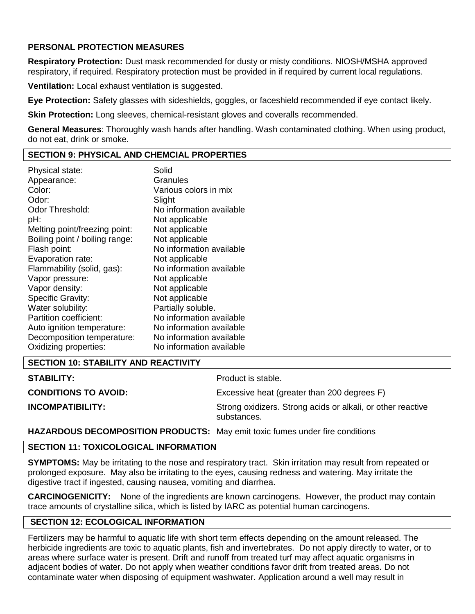## **PERSONAL PROTECTION MEASURES**

**Respiratory Protection:** Dust mask recommended for dusty or misty conditions. NIOSH/MSHA approved respiratory, if required. Respiratory protection must be provided in if required by current local regulations.

**Ventilation:** Local exhaust ventilation is suggested.

**Eye Protection:** Safety glasses with sideshields, goggles, or faceshield recommended if eye contact likely.

**Skin Protection:** Long sleeves, chemical-resistant gloves and coveralls recommended.

**General Measures**: Thoroughly wash hands after handling. Wash contaminated clothing. When using product, do not eat, drink or smoke.

### **SECTION 9: PHYSICAL AND CHEMCIAL PROPERTIES**

| Physical state:                | Solid                    |
|--------------------------------|--------------------------|
| Appearance:                    | Granules                 |
| Color:                         | Various colors in mix    |
| Odor:                          | Slight                   |
| Odor Threshold:                | No information available |
| pH:                            | Not applicable           |
| Melting point/freezing point:  | Not applicable           |
| Boiling point / boiling range: | Not applicable           |
| Flash point:                   | No information available |
| Evaporation rate:              | Not applicable           |
| Flammability (solid, gas):     | No information available |
| Vapor pressure:                | Not applicable           |
| Vapor density:                 | Not applicable           |
| <b>Specific Gravity:</b>       | Not applicable           |
| Water solubility:              | Partially soluble.       |
| Partition coefficient:         | No information available |
| Auto ignition temperature:     | No information available |
| Decomposition temperature:     | No information available |
| Oxidizing properties:          | No information available |

# **SECTION 10: STABILITY AND REACTIVITY**

| <b>STABILITY:</b>           | Product is stable.                                                         |
|-----------------------------|----------------------------------------------------------------------------|
| <b>CONDITIONS TO AVOID:</b> | Excessive heat (greater than 200 degrees F)                                |
| <b>INCOMPATIBILITY:</b>     | Strong oxidizers. Strong acids or alkali, or other reactive<br>substances. |

**HAZARDOUS DECOMPOSITION PRODUCTS:** May emit toxic fumes under fire conditions

## **SECTION 11: TOXICOLOGICAL INFORMATION**

**SYMPTOMS:** May be irritating to the nose and respiratory tract. Skin irritation may result from repeated or prolonged exposure. May also be irritating to the eyes, causing redness and watering. May irritate the digestive tract if ingested, causing nausea, vomiting and diarrhea.

**CARCINOGENICITY:** None of the ingredients are known carcinogens. However, the product may contain trace amounts of crystalline silica, which is listed by IARC as potential human carcinogens.

## **SECTION 12: ECOLOGICAL INFORMATION**

Fertilizers may be harmful to aquatic life with short term effects depending on the amount released. The herbicide ingredients are toxic to aquatic plants, fish and invertebrates. Do not apply directly to water, or to areas where surface water is present. Drift and runoff from treated turf may affect aquatic organisms in adjacent bodies of water. Do not apply when weather conditions favor drift from treated areas. Do not contaminate water when disposing of equipment washwater. Application around a well may result in